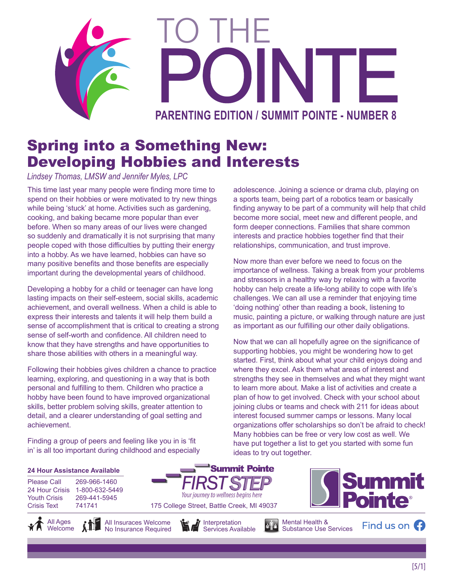

## Spring into a Something New: Developing Hobbies and Interests

*Lindsey Thomas, LMSW and Jennifer Myles, LPC*

This time last year many people were finding more time to spend on their hobbies or were motivated to try new things while being 'stuck' at home. Activities such as gardening, cooking, and baking became more popular than ever before. When so many areas of our lives were changed so suddenly and dramatically it is not surprising that many people coped with those difficulties by putting their energy into a hobby. As we have learned, hobbies can have so many positive benefits and those benefits are especially important during the developmental years of childhood.

Developing a hobby for a child or teenager can have long lasting impacts on their self-esteem, social skills, academic achievement, and overall wellness. When a child is able to express their interests and talents it will help them build a sense of accomplishment that is critical to creating a strong sense of self-worth and confidence. All children need to know that they have strengths and have opportunities to share those abilities with others in a meaningful way.

Following their hobbies gives children a chance to practice learning, exploring, and questioning in a way that is both personal and fulfilling to them. Children who practice a hobby have been found to have improved organizational skills, better problem solving skills, greater attention to detail, and a clearer understanding of goal setting and achievement.

Finding a group of peers and feeling like you in is 'fit in' is all too important during childhood and especially adolescence. Joining a science or drama club, playing on a sports team, being part of a robotics team or basically finding anyway to be part of a community will help that child become more social, meet new and different people, and form deeper connections. Families that share common interests and practice hobbies together find that their relationships, communication, and trust improve.

Now more than ever before we need to focus on the importance of wellness. Taking a break from your problems and stressors in a healthy way by relaxing with a favorite hobby can help create a life-long ability to cope with life's challenges. We can all use a reminder that enjoying time 'doing nothing' other than reading a book, listening to music, painting a picture, or walking through nature are just as important as our fulfilling our other daily obligations.

Now that we can all hopefully agree on the significance of supporting hobbies, you might be wondering how to get started. First, think about what your child enjoys doing and where they excel. Ask them what areas of interest and strengths they see in themselves and what they might want to learn more about. Make a list of activities and create a plan of how to get involved. Check with your school about joining clubs or teams and check with 211 for ideas about interest focused summer camps or lessons. Many local organizations offer scholarships so don't be afraid to check! Many hobbies can be free or very low cost as well. We have put together a list to get you started with some fun ideas to try out together.

#### **24 Hour Assistance Available**

Please Call 269-966-1460 24 Hour Crisis 1-800-632-5449 Youth Crisis 269-441-5945 Crisis Text 741741







Your journey to wellness begins here

**Summit Pointe** 



Mental Health & Substance Use Services